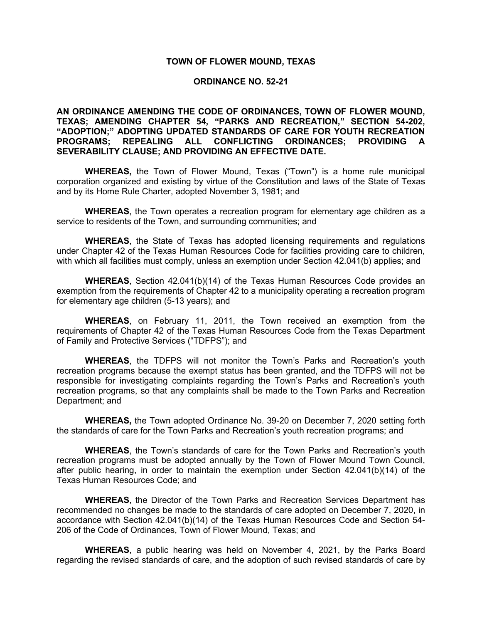#### **TOWN OF FLOWER MOUND, TEXAS**

#### **ORDINANCE NO. 52-21**

### **AN ORDINANCE AMENDING THE CODE OF ORDINANCES, TOWN OF FLOWER MOUND, TEXAS; AMENDING CHAPTER 54, "PARKS AND RECREATION," SECTION 54-202, "ADOPTION;" ADOPTING UPDATED STANDARDS OF CARE FOR YOUTH RECREATION PROGRAMS; REPEALING ALL CONFLICTING ORDINANCES; PROVIDING A SEVERABILITY CLAUSE; AND PROVIDING AN EFFECTIVE DATE.**

**WHEREAS,** the Town of Flower Mound, Texas ("Town") is a home rule municipal corporation organized and existing by virtue of the Constitution and laws of the State of Texas and by its Home Rule Charter, adopted November 3, 1981; and

**WHEREAS**, the Town operates a recreation program for elementary age children as a service to residents of the Town, and surrounding communities; and

**WHEREAS**, the State of Texas has adopted licensing requirements and regulations under Chapter 42 of the Texas Human Resources Code for facilities providing care to children, with which all facilities must comply, unless an exemption under Section 42.041(b) applies; and

**WHEREAS**, Section 42.041(b)(14) of the Texas Human Resources Code provides an exemption from the requirements of Chapter 42 to a municipality operating a recreation program for elementary age children (5-13 years); and

**WHEREAS**, on February 11, 2011, the Town received an exemption from the requirements of Chapter 42 of the Texas Human Resources Code from the Texas Department of Family and Protective Services ("TDFPS"); and

**WHEREAS**, the TDFPS will not monitor the Town's Parks and Recreation's youth recreation programs because the exempt status has been granted, and the TDFPS will not be responsible for investigating complaints regarding the Town's Parks and Recreation's youth recreation programs, so that any complaints shall be made to the Town Parks and Recreation Department; and

**WHEREAS,** the Town adopted Ordinance No. 39-20 on December 7, 2020 setting forth the standards of care for the Town Parks and Recreation's youth recreation programs; and

**WHEREAS**, the Town's standards of care for the Town Parks and Recreation's youth recreation programs must be adopted annually by the Town of Flower Mound Town Council, after public hearing, in order to maintain the exemption under Section 42.041(b)(14) of the Texas Human Resources Code; and

**WHEREAS**, the Director of the Town Parks and Recreation Services Department has recommended no changes be made to the standards of care adopted on December 7, 2020, in accordance with Section 42.041(b)(14) of the Texas Human Resources Code and Section 54- 206 of the Code of Ordinances, Town of Flower Mound, Texas; and

**WHEREAS**, a public hearing was held on November 4, 2021, by the Parks Board regarding the revised standards of care, and the adoption of such revised standards of care by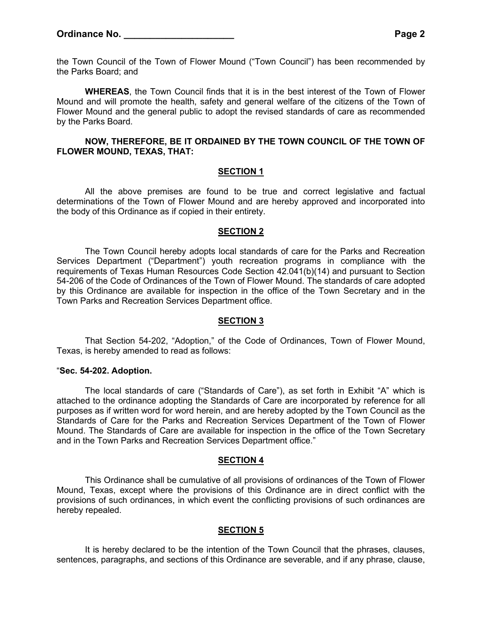the Town Council of the Town of Flower Mound ("Town Council") has been recommended by the Parks Board; and

**WHEREAS**, the Town Council finds that it is in the best interest of the Town of Flower Mound and will promote the health, safety and general welfare of the citizens of the Town of Flower Mound and the general public to adopt the revised standards of care as recommended by the Parks Board.

### **NOW, THEREFORE, BE IT ORDAINED BY THE TOWN COUNCIL OF THE TOWN OF FLOWER MOUND, TEXAS, THAT:**

## **SECTION 1**

All the above premises are found to be true and correct legislative and factual determinations of the Town of Flower Mound and are hereby approved and incorporated into the body of this Ordinance as if copied in their entirety.

#### **SECTION 2**

The Town Council hereby adopts local standards of care for the Parks and Recreation Services Department ("Department") youth recreation programs in compliance with the requirements of Texas Human Resources Code Section 42.041(b)(14) and pursuant to Section 54-206 of the Code of Ordinances of the Town of Flower Mound. The standards of care adopted by this Ordinance are available for inspection in the office of the Town Secretary and in the Town Parks and Recreation Services Department office.

#### **SECTION 3**

That Section 54-202, "Adoption," of the Code of Ordinances, Town of Flower Mound, Texas, is hereby amended to read as follows:

#### "**Sec. 54-202. Adoption.**

The local standards of care ("Standards of Care"), as set forth in Exhibit "A" which is attached to the ordinance adopting the Standards of Care are incorporated by reference for all purposes as if written word for word herein, and are hereby adopted by the Town Council as the Standards of Care for the Parks and Recreation Services Department of the Town of Flower Mound. The Standards of Care are available for inspection in the office of the Town Secretary and in the Town Parks and Recreation Services Department office."

#### **SECTION 4**

This Ordinance shall be cumulative of all provisions of ordinances of the Town of Flower Mound, Texas, except where the provisions of this Ordinance are in direct conflict with the provisions of such ordinances, in which event the conflicting provisions of such ordinances are hereby repealed.

#### **SECTION 5**

It is hereby declared to be the intention of the Town Council that the phrases, clauses, sentences, paragraphs, and sections of this Ordinance are severable, and if any phrase, clause,